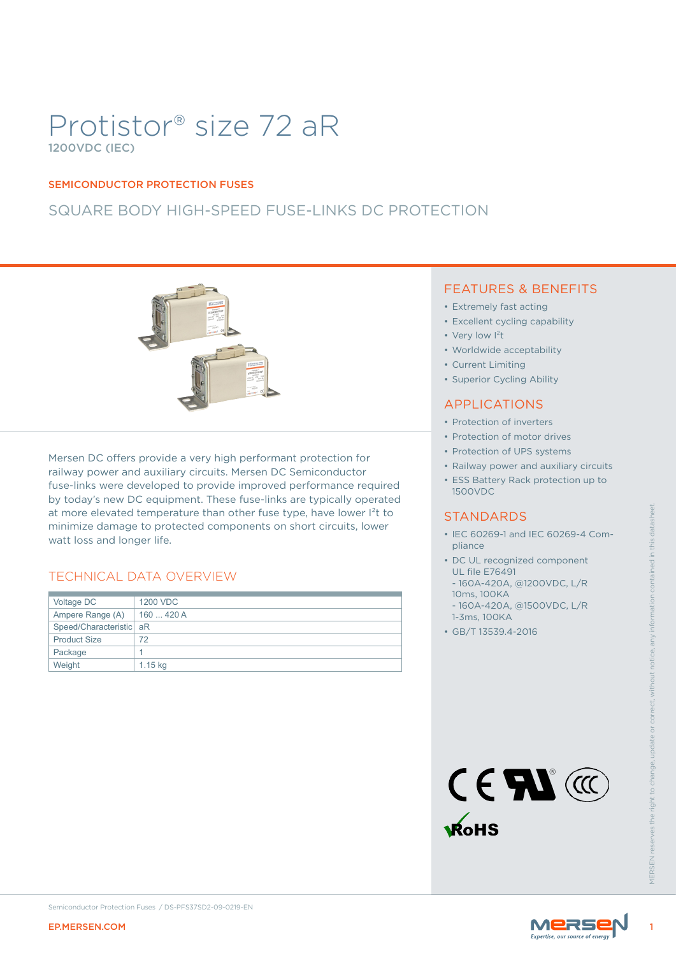# Protistor® size 72 aR 1200VDC (IEC)

### SEMICONDUCTOR PROTECTION FUSES

## SQUARE BODY HIGH-SPEED FUSE-LINKS DC PROTECTION



at more elevated temperature than other fuse type, have lower I<sup>2</sup>t to minimize damage to protected components on short circuits, lower watt loss and longer life.

### TECHNICAL DATA OVERVIEW

|                                                                                                                                                                                                                                         | at more elevated temperature than other fuse type, have lower l <sup>2</sup> t to<br>minimize damage to protected components on short circuits, lower | <b>STANDARDS</b><br>• IEC 60269-1 and IEC 60269-4 Com-<br>pliance                                                                                                                                              |
|-----------------------------------------------------------------------------------------------------------------------------------------------------------------------------------------------------------------------------------------|-------------------------------------------------------------------------------------------------------------------------------------------------------|----------------------------------------------------------------------------------------------------------------------------------------------------------------------------------------------------------------|
| watt loss and longer life.<br><b>TECHNICAL DATA OVERVIEW</b><br>Voltage DC<br><b>1200 VDC</b><br>Ampere Range (A)<br>160  420 A<br>Speed/Characteristic aR<br><b>Product Size</b><br>72<br>Package<br>$\mathbf{1}$<br>Weight<br>1.15 kg |                                                                                                                                                       | • DC UL recognized component<br><b>UL file E76491</b><br>- 160A-420A, @1200VDC, L/R<br>10ms, 100KA<br>- 160A-420A, @1500VDC, L/R<br>1-3ms, 100KA<br>• GB/T 13539.4-2016<br>CEM<br><b>RoHS</b><br><b>NFRSFN</b> |
| Semiconductor Protection Fuses / DS-PFS37SD2-09-0219-EN<br><b>EP.MERSEN.COM</b>                                                                                                                                                         |                                                                                                                                                       | MERSE                                                                                                                                                                                                          |

### FEATURES & BENEFITS

- Extremely fast acting
- Excellent cycling capability
- Very low I<sup>2</sup>t
- Worldwide acceptability
- Current Limiting
- Superior Cycling Ability

### APPLICATIONS

- Protection of inverters
- Protection of motor drives
- Protection of UPS systems
- Railway power and auxiliary circuits
- ESS Battery Rack protection up to 1500VDC

### **STANDARDS**

- IEC 60269-1 and IEC 60269-4 Compliance
- DC UL recognized component UL file E76491
- 160A-420A, @1200VDC, L/R 10ms, 100KA
- 160A-420A, @1500VDC, L/R 1-3ms, 100KA
- GB/T 13539.4-2016





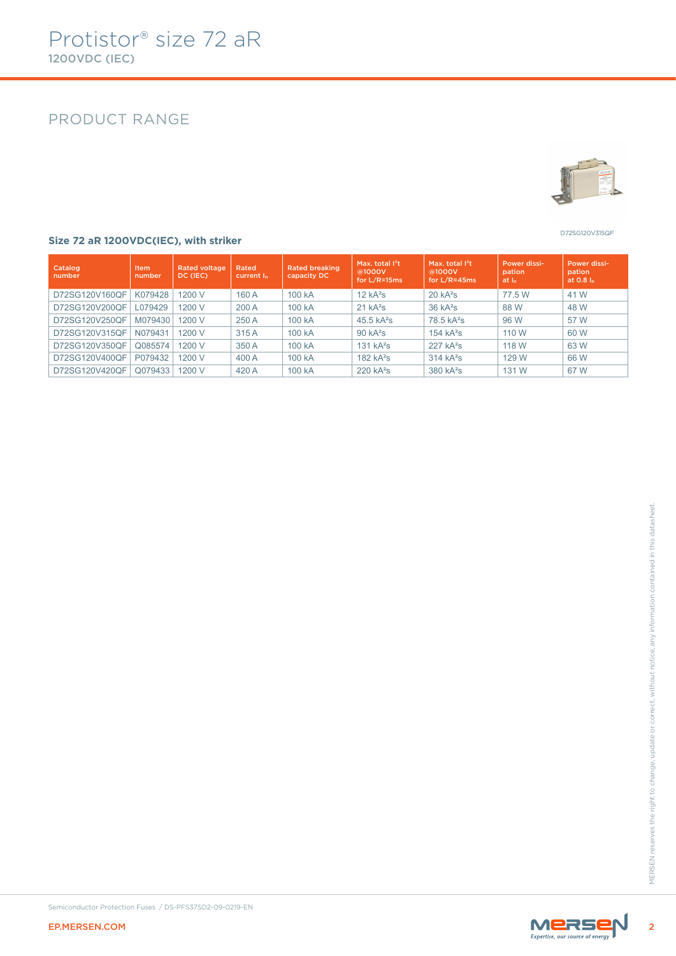### PRODUCT RANGE



D72SG120V315QF

#### **Size 72 aR 1200VDC(IEC), with striker**

| Catalog<br>number | <b>Item</b><br>number | <b>Rated voltage</b><br>DC (IEC) | Rated<br>current I <sub>n</sub> | <b>Rated breaking</b><br>capacity DC | Max. total $I2t$<br>@1000V<br>for $L/R = 15$ ms | Max. total $I2t$<br>@1000V<br>for L/R=45ms | Power dissi-<br>pation<br>at I <sub>n</sub> | Power dissi-<br>pation<br>at 0.8 ln |
|-------------------|-----------------------|----------------------------------|---------------------------------|--------------------------------------|-------------------------------------------------|--------------------------------------------|---------------------------------------------|-------------------------------------|
| D72SG120V160QF    | K079428               | 1200 V                           | 160 A                           | 100 kA                               | 12 kA <sup>2</sup> S                            | $20 kA^2s$                                 | 77.5 W                                      | 41 W                                |
| D72SG120V200QF    | L079429               | 1200 V                           | 200 A                           | 100 kA                               | $21 kA^2s$                                      | $36$ kA <sup>2</sup> s                     | 88 W                                        | 48 W                                |
| D72SG120V250QF    | M079430               | 1200 V                           | 250 A                           | 100 kA                               | $45.5$ kA <sup>2</sup> s                        | 78.5 kA <sup>2</sup> s                     | 96 W                                        | 57 W                                |
| D72SG120V315QF    | N079431               | 1200 V                           | 315 A                           | 100 kA                               | $90 kA^2s$                                      | 154 $kA^2s$                                | 110 W                                       | 60 W                                |
| D72SG120V350QF    | Q085574               | 1200 V                           | 350 A                           | 100 kA                               | 131 kA <sup>2</sup> S                           | $227 kA^2s$                                | 118 W                                       | 63 W                                |
| D72SG120V400QF    | P079432               | 1200 V                           | 400 A                           | 100 kA                               | 182 $kA^2s$                                     | $314 kA^2s$                                | 129 W                                       | 66 W                                |
| D72SG120V420QF    | Q079433               | 1200 V                           | 420 A                           | 100 kA                               | $220 kA^2s$                                     | 380 kA <sup>2</sup> s                      | 131 W                                       | 67 W                                |



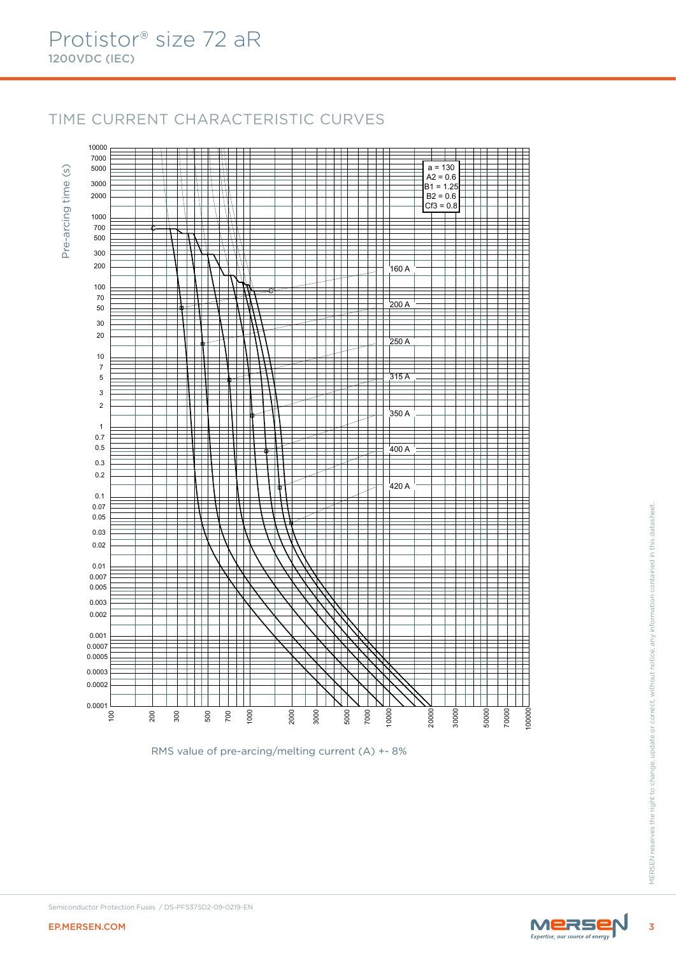10000

## TIME CURRENT CHARACTERISTIC CURVES

7000  $\pm$  $a = 130$  $\circ$ 5000 Pre-arcing time (s)  $A2 = 0.6$ Pre-arcing time 3000 ╪╪  $B1 = 1.25$ ╤ H 2000  $B2 = 0.6$ 1 ╫  $\mathbb T$  $\left\| \cdot \right\|$ Τ Т Τ  $Cf3 = 0.8$ 1000  $\mathcal{W}$ 700 ę 500 300 ╪ Z 1777 Ŧ 200  $\frac{1}{11}$  $\mathbb{R}$ l<br>160 A T N 100  $_{\rm e}$ 70  $200 A$ 50 Ŧ 30 ┪ ₩  $\Box$ ╪ ĦŦ Ħ 20  $250 A$ Ŧ 10  $\begin{array}{c|c}\n\hline\n\text{+} & \text{+} \\
\hline\n\text{315 A} \\
\hline\n\end{array}$ 7 Ħ 5 ⋕ 3 Ŧ  $\Box$ Ŧ 2 ╀ 工  $\mathbb{R}$ 350 A 1 0.7  $\frac{1}{\frac{400 \text{ A}}{1}}$ 0.5 ╪ Ŧ 0.3 ╤ Ħ ╫ ₹ FFF ╤ Ŧ 0.2 工 ╥ ⊤  $420A$ 0.1 0.07 EP.MERSEN.COM <sup>3</sup>MERSEN reserves the right to change, update or correct, without notice, any information contained in this datasheet. 0.05 0.03 0.02 0.01 0.007 0.005 0.003 0.002 0.001 0.0007 0.0005 0.0003 0.0002 0.0001 200 2000 20000 30000 50000 70000 300 500 700 1000 3000 7000 10000  $\mathsf{S}$ 5000

RMS value of pre-arcing/melting current (A) +- 8%



100000

F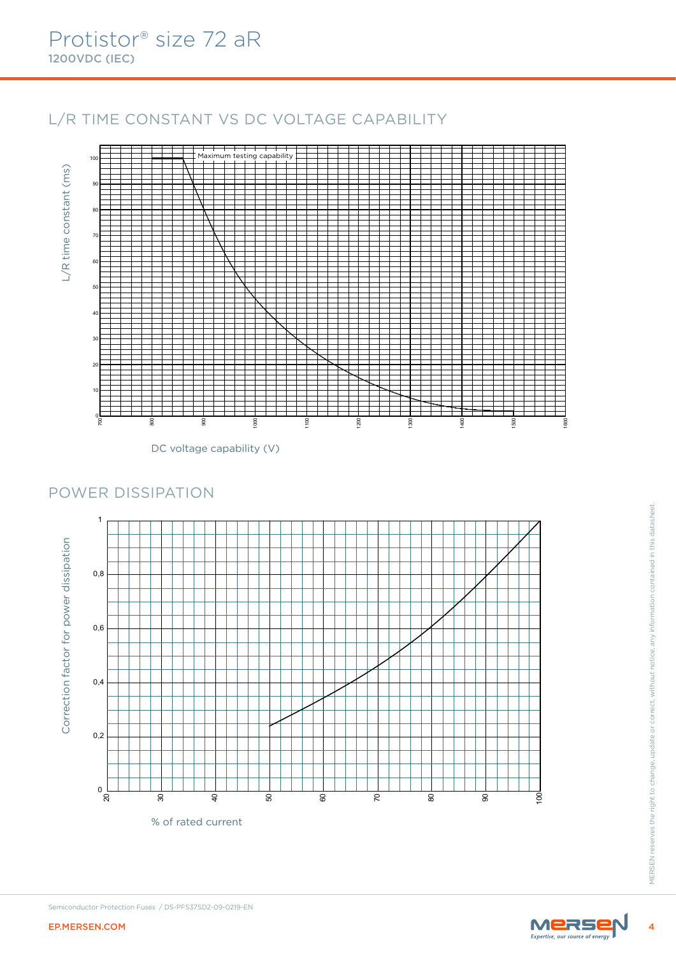## L/R TIME CONSTANT VS DC VOLTAGE CAPABILITY



DC voltage capability (V)

## POWER DISSIPATION



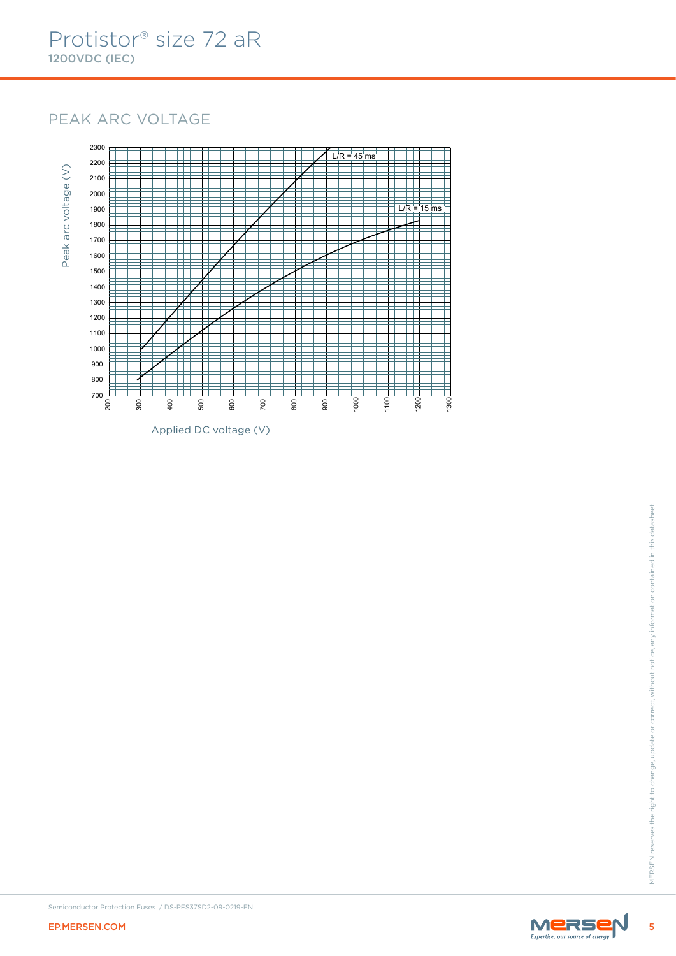## PEAK ARC VOLTAGE